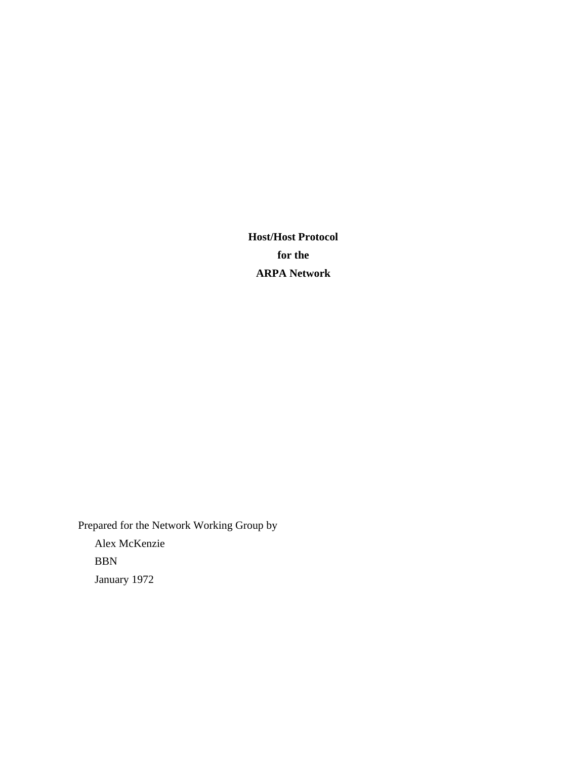**Host/Host Protocol for the ARPA Network**

Prepared for the Network Working Group by Alex McKenzie BBN January 1972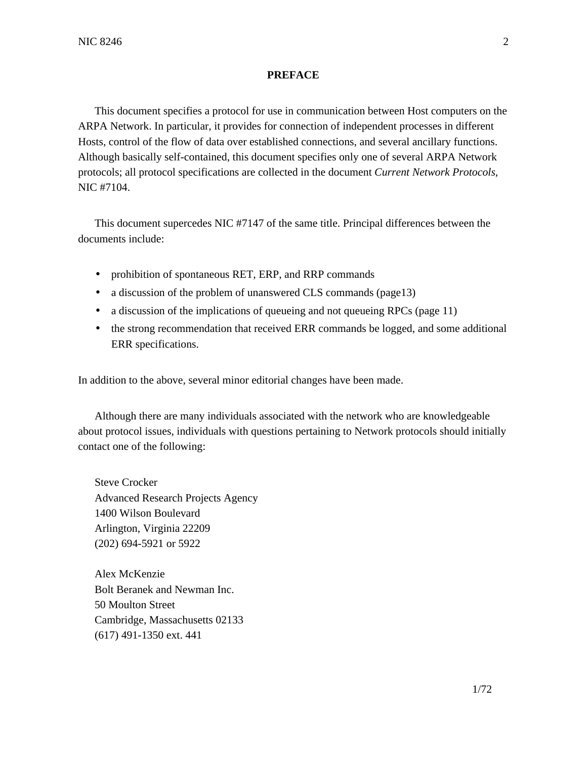## **PREFACE**

This document specifies a protocol for use in communication between Host computers on the ARPA Network. In particular, it provides for connection of independent processes in different Hosts, control of the flow of data over established connections, and several ancillary functions. Although basically self-contained, this document specifies only one of several ARPA Network protocols; all protocol specifications are collected in the document *Current Network Protocols*, NIC #7104.

This document supercedes NIC #7147 of the same title. Principal differences between the documents include:

- prohibition of spontaneous RET, ERP, and RRP commands
- a discussion of the problem of unanswered CLS commands (page13)
- a discussion of the implications of queueing and not queueing RPCs (page 11)
- the strong recommendation that received ERR commands be logged, and some additional ERR specifications.

In addition to the above, several minor editorial changes have been made.

Although there are many individuals associated with the network who are knowledgeable about protocol issues, individuals with questions pertaining to Network protocols should initially contact one of the following:

Steve Crocker Advanced Research Projects Agency 1400 Wilson Boulevard Arlington, Virginia 22209 (202) 694-5921 or 5922

Alex McKenzie Bolt Beranek and Newman Inc. 50 Moulton Street Cambridge, Massachusetts 02133 (617) 491-1350 ext. 441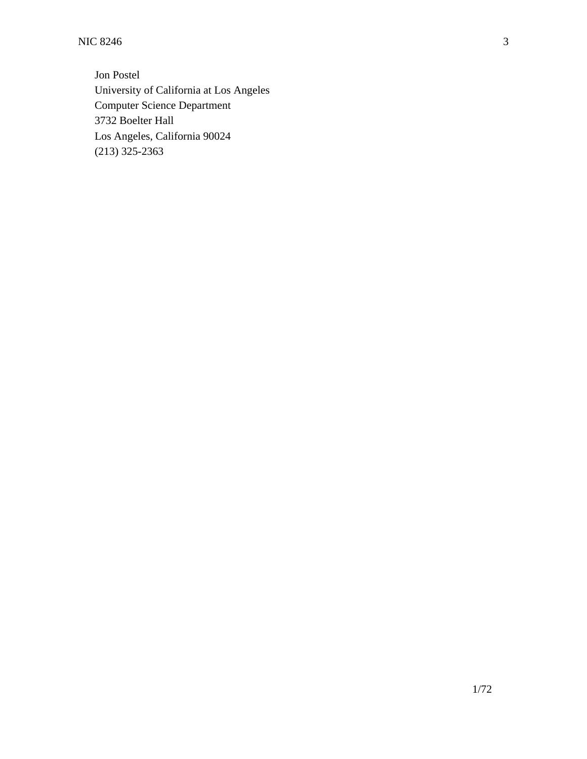NIC 8246 3

Jon Postel University of California at Los Angeles Computer Science Department 3732 Boelter Hall Los Angeles, California 90024 (213) 325-2363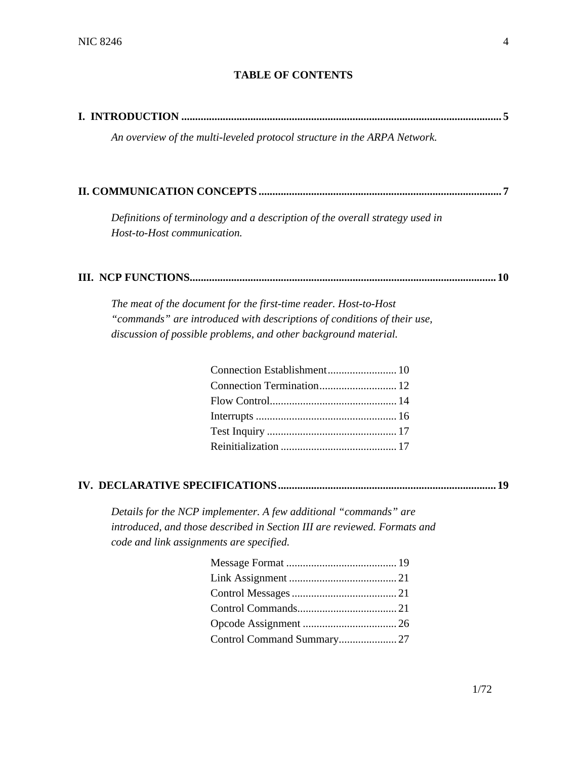# **TABLE OF CONTENTS**

|                             | An overview of the multi-leveled protocol structure in the ARPA Network.     |      |
|-----------------------------|------------------------------------------------------------------------------|------|
|                             |                                                                              |      |
| Host-to-Host communication. | Definitions of terminology and a description of the overall strategy used in |      |
|                             |                                                                              |      |
|                             | The meat of the document for the first-time reader. Host-to-Host             |      |
|                             | "commands" are introduced with descriptions of conditions of their use,      |      |
|                             | discussion of possible problems, and other background material.              |      |
|                             |                                                                              |      |
|                             |                                                                              |      |
|                             |                                                                              |      |
|                             |                                                                              |      |
|                             |                                                                              |      |
|                             |                                                                              |      |
|                             |                                                                              |      |
|                             | Details for the NCP implementer. A few additional "commands" are             |      |
|                             | introduced, and those described in Section III are reviewed. Formats and     |      |
|                             | code and link assignments are specified.                                     |      |
|                             |                                                                              |      |
|                             |                                                                              |      |
|                             |                                                                              |      |
|                             |                                                                              |      |
|                             |                                                                              |      |
|                             | Control Command Summary27                                                    |      |
|                             |                                                                              |      |
|                             |                                                                              | 1/72 |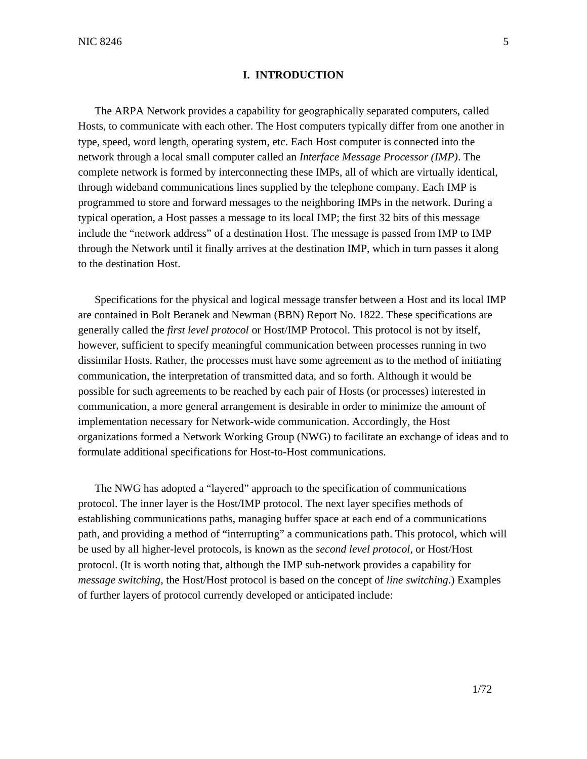## **I. INTRODUCTION**

The ARPA Network provides a capability for geographically separated computers, called Hosts, to communicate with each other. The Host computers typically differ from one another in type, speed, word length, operating system, etc. Each Host computer is connected into the network through a local small computer called an *Interface Message Processor (IMP)*. The complete network is formed by interconnecting these IMPs, all of which are virtually identical, through wideband communications lines supplied by the telephone company. Each IMP is programmed to store and forward messages to the neighboring IMPs in the network. During a typical operation, a Host passes a message to its local IMP; the first 32 bits of this message include the "network address" of a destination Host. The message is passed from IMP to IMP through the Network until it finally arrives at the destination IMP, which in turn passes it along to the destination Host.

Specifications for the physical and logical message transfer between a Host and its local IMP are contained in Bolt Beranek and Newman (BBN) Report No. 1822. These specifications are generally called the *first level protocol* or Host/IMP Protocol. This protocol is not by itself, however, sufficient to specify meaningful communication between processes running in two dissimilar Hosts. Rather, the processes must have some agreement as to the method of initiating communication, the interpretation of transmitted data, and so forth. Although it would be possible for such agreements to be reached by each pair of Hosts (or processes) interested in communication, a more general arrangement is desirable in order to minimize the amount of implementation necessary for Network-wide communication. Accordingly, the Host organizations formed a Network Working Group (NWG) to facilitate an exchange of ideas and to formulate additional specifications for Host-to-Host communications.

The NWG has adopted a "layered" approach to the specification of communications protocol. The inner layer is the Host/IMP protocol. The next layer specifies methods of establishing communications paths, managing buffer space at each end of a communications path, and providing a method of "interrupting" a communications path. This protocol, which will be used by all higher-level protocols, is known as the *second level protocol*, or Host/Host protocol. (It is worth noting that, although the IMP sub-network provides a capability for *message switching*, the Host/Host protocol is based on the concept of *line switching*.) Examples of further layers of protocol currently developed or anticipated include: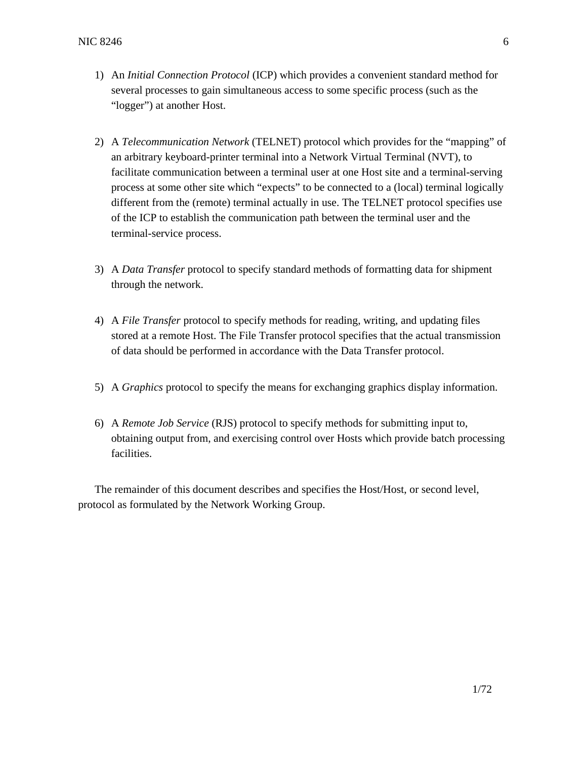- 1) An *Initial Connection Protocol* (ICP) which provides a convenient standard method for several processes to gain simultaneous access to some specific process (such as the "logger") at another Host.
- 2) A *Telecommunication Network* (TELNET) protocol which provides for the "mapping" of an arbitrary keyboard-printer terminal into a Network Virtual Terminal (NVT), to facilitate communication between a terminal user at one Host site and a terminal-serving process at some other site which "expects" to be connected to a (local) terminal logically different from the (remote) terminal actually in use. The TELNET protocol specifies use of the ICP to establish the communication path between the terminal user and the terminal-service process.
- 3) A *Data Transfer* protocol to specify standard methods of formatting data for shipment through the network.
- 4) A *File Transfer* protocol to specify methods for reading, writing, and updating files stored at a remote Host. The File Transfer protocol specifies that the actual transmission of data should be performed in accordance with the Data Transfer protocol.
- 5) A *Graphics* protocol to specify the means for exchanging graphics display information.
- 6) A *Remote Job Service* (RJS) protocol to specify methods for submitting input to, obtaining output from, and exercising control over Hosts which provide batch processing facilities.

The remainder of this document describes and specifies the Host/Host, or second level, protocol as formulated by the Network Working Group.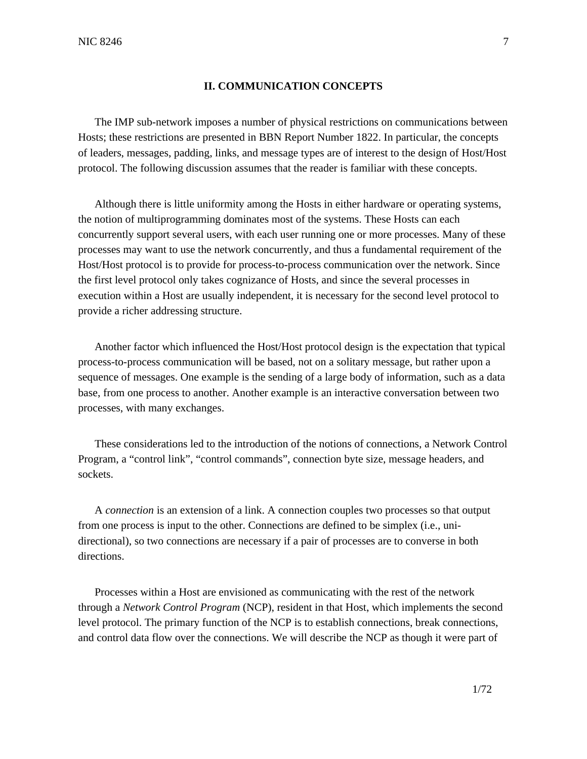## **II. COMMUNICATION CONCEPTS**

The IMP sub-network imposes a number of physical restrictions on communications between Hosts; these restrictions are presented in BBN Report Number 1822. In particular, the concepts of leaders, messages, padding, links, and message types are of interest to the design of Host/Host protocol. The following discussion assumes that the reader is familiar with these concepts.

Although there is little uniformity among the Hosts in either hardware or operating systems, the notion of multiprogramming dominates most of the systems. These Hosts can each concurrently support several users, with each user running one or more processes. Many of these processes may want to use the network concurrently, and thus a fundamental requirement of the Host/Host protocol is to provide for process-to-process communication over the network. Since the first level protocol only takes cognizance of Hosts, and since the several processes in execution within a Host are usually independent, it is necessary for the second level protocol to provide a richer addressing structure.

Another factor which influenced the Host/Host protocol design is the expectation that typical process-to-process communication will be based, not on a solitary message, but rather upon a sequence of messages. One example is the sending of a large body of information, such as a data base, from one process to another. Another example is an interactive conversation between two processes, with many exchanges.

These considerations led to the introduction of the notions of connections, a Network Control Program, a "control link", "control commands", connection byte size, message headers, and sockets.

A *connection* is an extension of a link. A connection couples two processes so that output from one process is input to the other. Connections are defined to be simplex (i.e., unidirectional), so two connections are necessary if a pair of processes are to converse in both directions.

Processes within a Host are envisioned as communicating with the rest of the network through a *Network Control Program* (NCP), resident in that Host, which implements the second level protocol. The primary function of the NCP is to establish connections, break connections, and control data flow over the connections. We will describe the NCP as though it were part of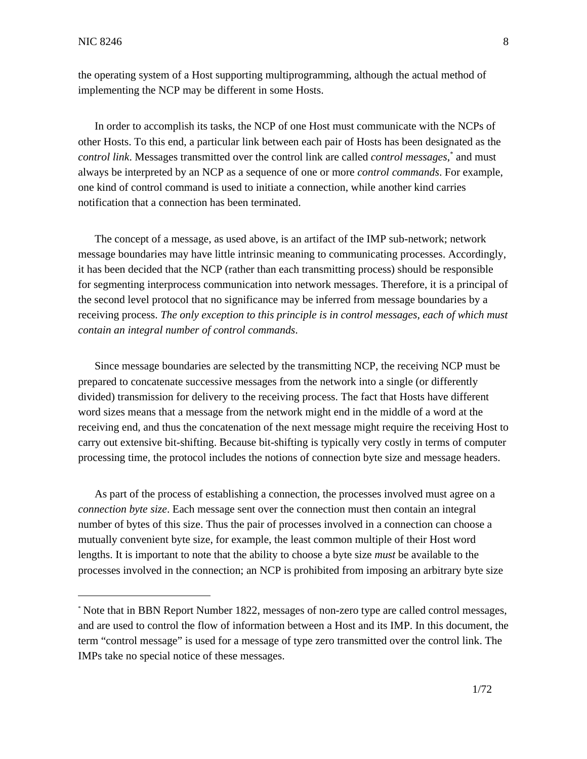$\overline{a}$ 

the operating system of a Host supporting multiprogramming, although the actual method of implementing the NCP may be different in some Hosts.

In order to accomplish its tasks, the NCP of one Host must communicate with the NCPs of other Hosts. To this end, a particular link between each pair of Hosts has been designated as the *control link*. Messages transmitted over the control link are called *control messages*, \* and must always be interpreted by an NCP as a sequence of one or more *control commands*. For example, one kind of control command is used to initiate a connection, while another kind carries notification that a connection has been terminated.

The concept of a message, as used above, is an artifact of the IMP sub-network; network message boundaries may have little intrinsic meaning to communicating processes. Accordingly, it has been decided that the NCP (rather than each transmitting process) should be responsible for segmenting interprocess communication into network messages. Therefore, it is a principal of the second level protocol that no significance may be inferred from message boundaries by a receiving process. *The only exception to this principle is in control messages, each of which must contain an integral number of control commands*.

Since message boundaries are selected by the transmitting NCP, the receiving NCP must be prepared to concatenate successive messages from the network into a single (or differently divided) transmission for delivery to the receiving process. The fact that Hosts have different word sizes means that a message from the network might end in the middle of a word at the receiving end, and thus the concatenation of the next message might require the receiving Host to carry out extensive bit-shifting. Because bit-shifting is typically very costly in terms of computer processing time, the protocol includes the notions of connection byte size and message headers.

As part of the process of establishing a connection, the processes involved must agree on a *connection byte size*. Each message sent over the connection must then contain an integral number of bytes of this size. Thus the pair of processes involved in a connection can choose a mutually convenient byte size, for example, the least common multiple of their Host word lengths. It is important to note that the ability to choose a byte size *must* be available to the processes involved in the connection; an NCP is prohibited from imposing an arbitrary byte size

<sup>\*</sup> Note that in BBN Report Number 1822, messages of non-zero type are called control messages, and are used to control the flow of information between a Host and its IMP. In this document, the term "control message" is used for a message of type zero transmitted over the control link. The IMPs take no special notice of these messages.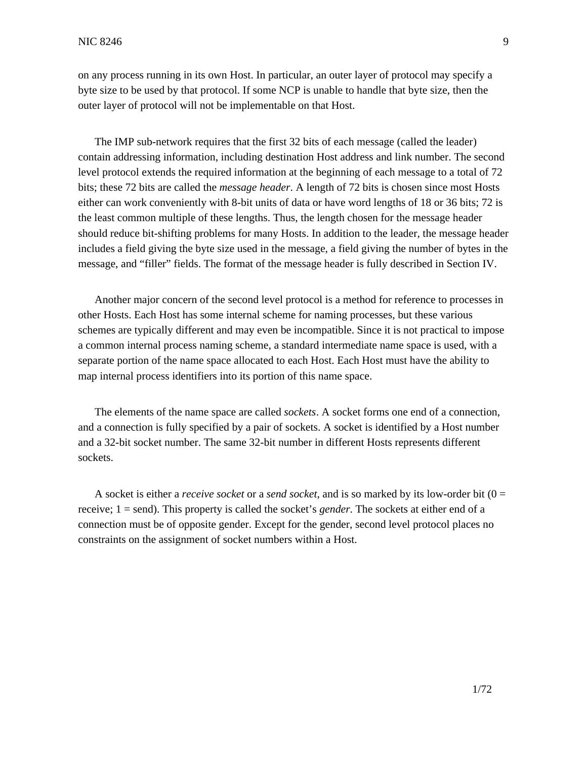on any process running in its own Host. In particular, an outer layer of protocol may specify a byte size to be used by that protocol. If some NCP is unable to handle that byte size, then the outer layer of protocol will not be implementable on that Host.

The IMP sub-network requires that the first 32 bits of each message (called the leader) contain addressing information, including destination Host address and link number. The second level protocol extends the required information at the beginning of each message to a total of 72 bits; these 72 bits are called the *message header*. A length of 72 bits is chosen since most Hosts either can work conveniently with 8-bit units of data or have word lengths of 18 or 36 bits; 72 is the least common multiple of these lengths. Thus, the length chosen for the message header should reduce bit-shifting problems for many Hosts. In addition to the leader, the message header includes a field giving the byte size used in the message, a field giving the number of bytes in the message, and "filler" fields. The format of the message header is fully described in Section IV.

Another major concern of the second level protocol is a method for reference to processes in other Hosts. Each Host has some internal scheme for naming processes, but these various schemes are typically different and may even be incompatible. Since it is not practical to impose a common internal process naming scheme, a standard intermediate name space is used, with a separate portion of the name space allocated to each Host. Each Host must have the ability to map internal process identifiers into its portion of this name space.

The elements of the name space are called *sockets*. A socket forms one end of a connection, and a connection is fully specified by a pair of sockets. A socket is identified by a Host number and a 32-bit socket number. The same 32-bit number in different Hosts represents different sockets.

A socket is either a *receive socket* or a *send socket*, and is so marked by its low-order bit (0 = receive; 1 = send). This property is called the socket's *gender*. The sockets at either end of a connection must be of opposite gender. Except for the gender, second level protocol places no constraints on the assignment of socket numbers within a Host.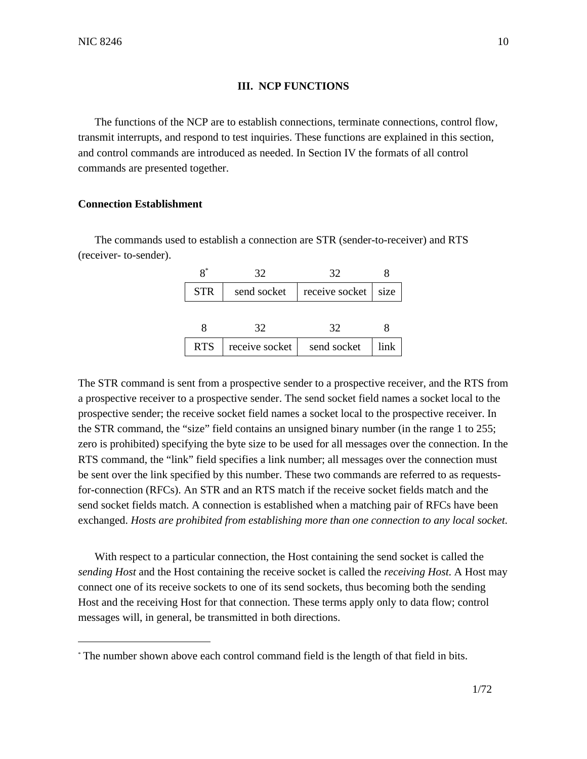## **III. NCP FUNCTIONS**

The functions of the NCP are to establish connections, terminate connections, control flow, transmit interrupts, and respond to test inquiries. These functions are explained in this section, and control commands are introduced as needed. In Section IV the formats of all control commands are presented together.

#### **Connection Establishment**

The commands used to establish a connection are STR (sender-to-receiver) and RTS (receiver- to-sender).

|            | 32             | 32             |      |
|------------|----------------|----------------|------|
| <b>STR</b> | send socket    | receive socket | size |
|            |                |                |      |
|            | 32             | 32             |      |
| <b>RTS</b> | receive socket | send socket    | link |

The STR command is sent from a prospective sender to a prospective receiver, and the RTS from a prospective receiver to a prospective sender. The send socket field names a socket local to the prospective sender; the receive socket field names a socket local to the prospective receiver. In the STR command, the "size" field contains an unsigned binary number (in the range 1 to 255; zero is prohibited) specifying the byte size to be used for all messages over the connection. In the RTS command, the "link" field specifies a link number; all messages over the connection must be sent over the link specified by this number. These two commands are referred to as requestsfor-connection (RFCs). An STR and an RTS match if the receive socket fields match and the send socket fields match. A connection is established when a matching pair of RFCs have been exchanged. *Hosts are prohibited from establishing more than one connection to any local socket*.

With respect to a particular connection, the Host containing the send socket is called the *sending Host* and the Host containing the receive socket is called the *receiving Host*. A Host may connect one of its receive sockets to one of its send sockets, thus becoming both the sending Host and the receiving Host for that connection. These terms apply only to data flow; control messages will, in general, be transmitted in both directions.

<sup>\*</sup> The number shown above each control command field is the length of that field in bits.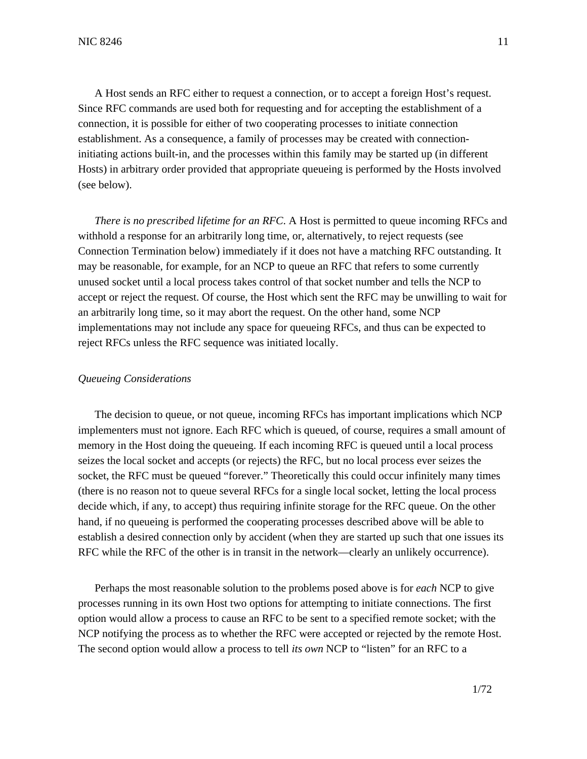A Host sends an RFC either to request a connection, or to accept a foreign Host's request. Since RFC commands are used both for requesting and for accepting the establishment of a connection, it is possible for either of two cooperating processes to initiate connection establishment. As a consequence, a family of processes may be created with connectioninitiating actions built-in, and the processes within this family may be started up (in different Hosts) in arbitrary order provided that appropriate queueing is performed by the Hosts involved (see below).

*There is no prescribed lifetime for an RFC*. A Host is permitted to queue incoming RFCs and withhold a response for an arbitrarily long time, or, alternatively, to reject requests (see Connection Termination below) immediately if it does not have a matching RFC outstanding. It may be reasonable, for example, for an NCP to queue an RFC that refers to some currently unused socket until a local process takes control of that socket number and tells the NCP to accept or reject the request. Of course, the Host which sent the RFC may be unwilling to wait for an arbitrarily long time, so it may abort the request. On the other hand, some NCP implementations may not include any space for queueing RFCs, and thus can be expected to reject RFCs unless the RFC sequence was initiated locally.

#### *Queueing Considerations*

The decision to queue, or not queue, incoming RFCs has important implications which NCP implementers must not ignore. Each RFC which is queued, of course, requires a small amount of memory in the Host doing the queueing. If each incoming RFC is queued until a local process seizes the local socket and accepts (or rejects) the RFC, but no local process ever seizes the socket, the RFC must be queued "forever." Theoretically this could occur infinitely many times (there is no reason not to queue several RFCs for a single local socket, letting the local process decide which, if any, to accept) thus requiring infinite storage for the RFC queue. On the other hand, if no queueing is performed the cooperating processes described above will be able to establish a desired connection only by accident (when they are started up such that one issues its RFC while the RFC of the other is in transit in the network—clearly an unlikely occurrence).

Perhaps the most reasonable solution to the problems posed above is for *each* NCP to give processes running in its own Host two options for attempting to initiate connections. The first option would allow a process to cause an RFC to be sent to a specified remote socket; with the NCP notifying the process as to whether the RFC were accepted or rejected by the remote Host. The second option would allow a process to tell *its own* NCP to "listen" for an RFC to a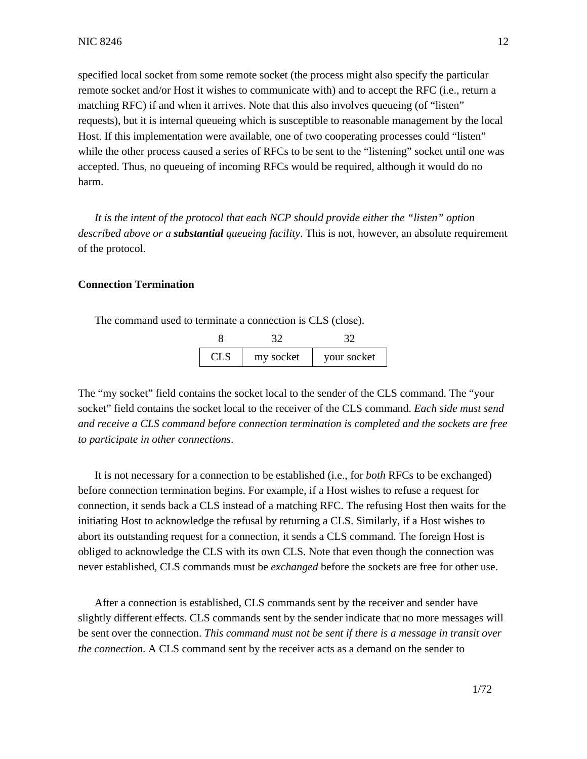specified local socket from some remote socket (the process might also specify the particular remote socket and/or Host it wishes to communicate with) and to accept the RFC (i.e., return a matching RFC) if and when it arrives. Note that this also involves queueing (of "listen" requests), but it is internal queueing which is susceptible to reasonable management by the local Host. If this implementation were available, one of two cooperating processes could "listen" while the other process caused a series of RFCs to be sent to the "listening" socket until one was accepted. Thus, no queueing of incoming RFCs would be required, although it would do no harm.

*It is the intent of the protocol that each NCP should provide either the "listen" option described above or a substantial queueing facility*. This is not, however, an absolute requirement of the protocol.

## **Connection Termination**

The command used to terminate a connection is CLS (close).

| CL S | my socket | your socket |
|------|-----------|-------------|

The "my socket" field contains the socket local to the sender of the CLS command. The "your socket" field contains the socket local to the receiver of the CLS command. *Each side must send and receive a CLS command before connection termination is completed and the sockets are free to participate in other connections*.

It is not necessary for a connection to be established (i.e., for *both* RFCs to be exchanged) before connection termination begins. For example, if a Host wishes to refuse a request for connection, it sends back a CLS instead of a matching RFC. The refusing Host then waits for the initiating Host to acknowledge the refusal by returning a CLS. Similarly, if a Host wishes to abort its outstanding request for a connection, it sends a CLS command. The foreign Host is obliged to acknowledge the CLS with its own CLS. Note that even though the connection was never established, CLS commands must be *exchanged* before the sockets are free for other use.

After a connection is established, CLS commands sent by the receiver and sender have slightly different effects. CLS commands sent by the sender indicate that no more messages will be sent over the connection. *This command must not be sent if there is a message in transit over the connection*. A CLS command sent by the receiver acts as a demand on the sender to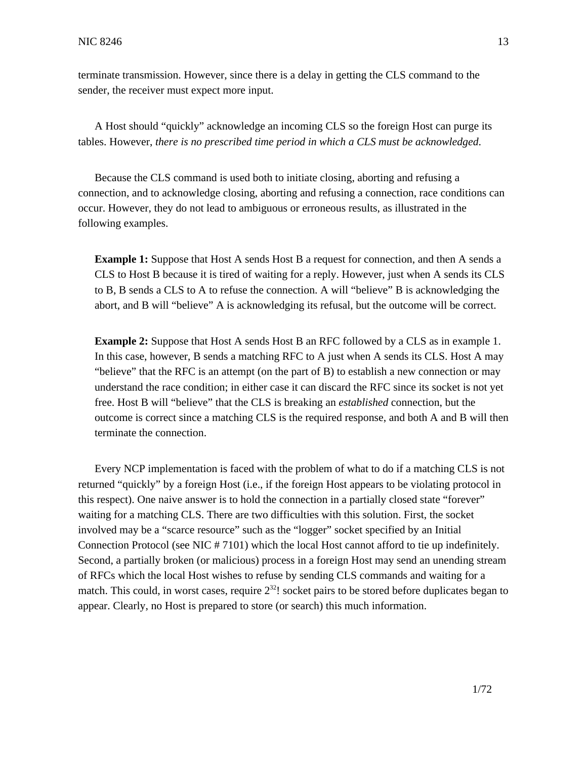terminate transmission. However, since there is a delay in getting the CLS command to the sender, the receiver must expect more input.

A Host should "quickly" acknowledge an incoming CLS so the foreign Host can purge its tables. However, *there is no prescribed time period in which a CLS must be acknowledged*.

Because the CLS command is used both to initiate closing, aborting and refusing a connection, and to acknowledge closing, aborting and refusing a connection, race conditions can occur. However, they do not lead to ambiguous or erroneous results, as illustrated in the following examples.

**Example 1:** Suppose that Host A sends Host B a request for connection, and then A sends a CLS to Host B because it is tired of waiting for a reply. However, just when A sends its CLS to B, B sends a CLS to A to refuse the connection. A will "believe" B is acknowledging the abort, and B will "believe" A is acknowledging its refusal, but the outcome will be correct.

**Example 2:** Suppose that Host A sends Host B an RFC followed by a CLS as in example 1. In this case, however, B sends a matching RFC to A just when A sends its CLS. Host A may "believe" that the RFC is an attempt (on the part of B) to establish a new connection or may understand the race condition; in either case it can discard the RFC since its socket is not yet free. Host B will "believe" that the CLS is breaking an *established* connection, but the outcome is correct since a matching CLS is the required response, and both A and B will then terminate the connection.

Every NCP implementation is faced with the problem of what to do if a matching CLS is not returned "quickly" by a foreign Host (i.e., if the foreign Host appears to be violating protocol in this respect). One naive answer is to hold the connection in a partially closed state "forever" waiting for a matching CLS. There are two difficulties with this solution. First, the socket involved may be a "scarce resource" such as the "logger" socket specified by an Initial Connection Protocol (see NIC # 7101) which the local Host cannot afford to tie up indefinitely. Second, a partially broken (or malicious) process in a foreign Host may send an unending stream of RFCs which the local Host wishes to refuse by sending CLS commands and waiting for a match. This could, in worst cases, require  $2^{32}$ ! socket pairs to be stored before duplicates began to appear. Clearly, no Host is prepared to store (or search) this much information.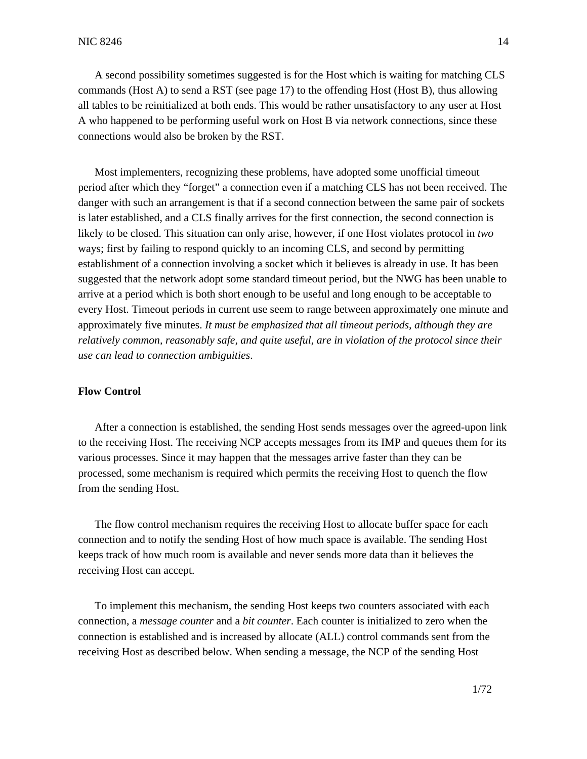A second possibility sometimes suggested is for the Host which is waiting for matching CLS commands (Host A) to send a RST (see page 17) to the offending Host (Host B), thus allowing all tables to be reinitialized at both ends. This would be rather unsatisfactory to any user at Host A who happened to be performing useful work on Host B via network connections, since these connections would also be broken by the RST.

Most implementers, recognizing these problems, have adopted some unofficial timeout period after which they "forget" a connection even if a matching CLS has not been received. The danger with such an arrangement is that if a second connection between the same pair of sockets is later established, and a CLS finally arrives for the first connection, the second connection is likely to be closed. This situation can only arise, however, if one Host violates protocol in *two* ways; first by failing to respond quickly to an incoming CLS, and second by permitting establishment of a connection involving a socket which it believes is already in use. It has been suggested that the network adopt some standard timeout period, but the NWG has been unable to arrive at a period which is both short enough to be useful and long enough to be acceptable to every Host. Timeout periods in current use seem to range between approximately one minute and approximately five minutes. *It must be emphasized that all timeout periods, although they are relatively common, reasonably safe, and quite useful, are in violation of the protocol since their use can lead to connection ambiguities*.

## **Flow Control**

After a connection is established, the sending Host sends messages over the agreed-upon link to the receiving Host. The receiving NCP accepts messages from its IMP and queues them for its various processes. Since it may happen that the messages arrive faster than they can be processed, some mechanism is required which permits the receiving Host to quench the flow from the sending Host.

The flow control mechanism requires the receiving Host to allocate buffer space for each connection and to notify the sending Host of how much space is available. The sending Host keeps track of how much room is available and never sends more data than it believes the receiving Host can accept.

To implement this mechanism, the sending Host keeps two counters associated with each connection, a *message counter* and a *bit counter*. Each counter is initialized to zero when the connection is established and is increased by allocate (ALL) control commands sent from the receiving Host as described below. When sending a message, the NCP of the sending Host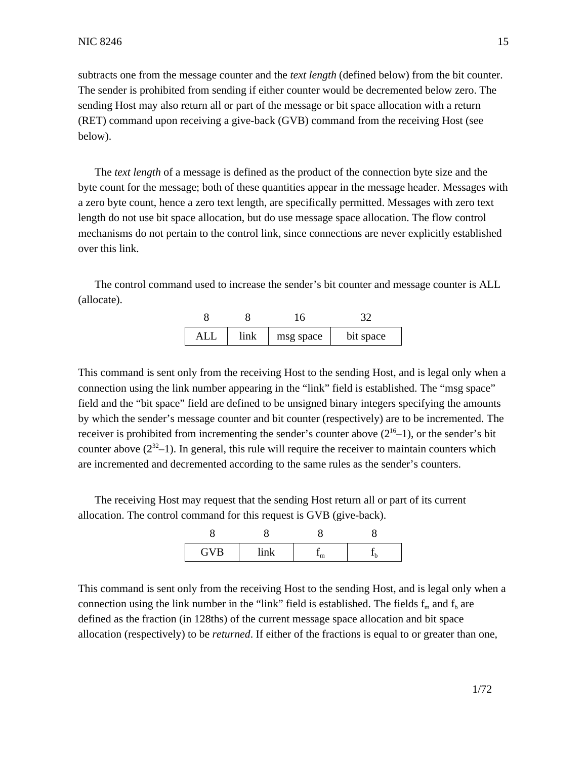subtracts one from the message counter and the *text length* (defined below) from the bit counter. The sender is prohibited from sending if either counter would be decremented below zero. The sending Host may also return all or part of the message or bit space allocation with a return (RET) command upon receiving a give-back (GVB) command from the receiving Host (see below).

The *text length* of a message is defined as the product of the connection byte size and the byte count for the message; both of these quantities appear in the message header. Messages with a zero byte count, hence a zero text length, are specifically permitted. Messages with zero text length do not use bit space allocation, but do use message space allocation. The flow control mechanisms do not pertain to the control link, since connections are never explicitly established over this link.

The control command used to increase the sender's bit counter and message counter is ALL (allocate).

| AL I | link | msg space | bit space |
|------|------|-----------|-----------|

This command is sent only from the receiving Host to the sending Host, and is legal only when a connection using the link number appearing in the "link" field is established. The "msg space" field and the "bit space" field are defined to be unsigned binary integers specifying the amounts by which the sender's message counter and bit counter (respectively) are to be incremented. The receiver is prohibited from incrementing the sender's counter above  $(2^{16}-1)$ , or the sender's bit counter above  $(2^{32}-1)$ . In general, this rule will require the receiver to maintain counters which are incremented and decremented according to the same rules as the sender's counters.

The receiving Host may request that the sending Host return all or part of its current allocation. The control command for this request is GVB (give-back).

| <b>GVB</b> |  |  |
|------------|--|--|

This command is sent only from the receiving Host to the sending Host, and is legal only when a connection using the link number in the "link" field is established. The fields  $f_m$  and  $f_b$  are defined as the fraction (in 128ths) of the current message space allocation and bit space allocation (respectively) to be *returned*. If either of the fractions is equal to or greater than one,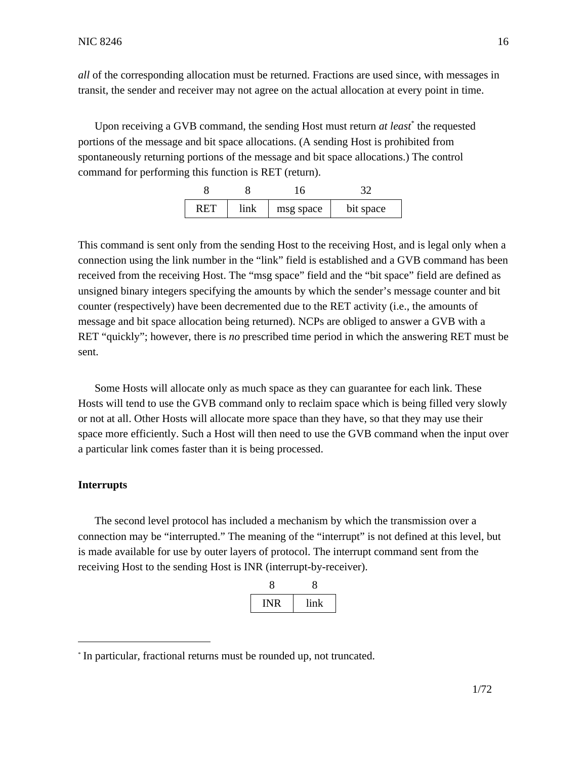*all* of the corresponding allocation must be returned. Fractions are used since, with messages in transit, the sender and receiver may not agree on the actual allocation at every point in time.

Upon receiving a GVB command, the sending Host must return *at least*\* the requested portions of the message and bit space allocations. (A sending Host is prohibited from spontaneously returning portions of the message and bit space allocations.) The control command for performing this function is RET (return).

| ו בי ט | link | msg space | bit space |
|--------|------|-----------|-----------|

This command is sent only from the sending Host to the receiving Host, and is legal only when a connection using the link number in the "link" field is established and a GVB command has been received from the receiving Host. The "msg space" field and the "bit space" field are defined as unsigned binary integers specifying the amounts by which the sender's message counter and bit counter (respectively) have been decremented due to the RET activity (i.e., the amounts of message and bit space allocation being returned). NCPs are obliged to answer a GVB with a RET "quickly"; however, there is *no* prescribed time period in which the answering RET must be sent.

Some Hosts will allocate only as much space as they can guarantee for each link. These Hosts will tend to use the GVB command only to reclaim space which is being filled very slowly or not at all. Other Hosts will allocate more space than they have, so that they may use their space more efficiently. Such a Host will then need to use the GVB command when the input over a particular link comes faster than it is being processed.

#### **Interrupts**

The second level protocol has included a mechanism by which the transmission over a connection may be "interrupted." The meaning of the "interrupt" is not defined at this level, but is made available for use by outer layers of protocol. The interrupt command sent from the receiving Host to the sending Host is INR (interrupt-by-receiver).

|     | v    |
|-----|------|
| INR | link |

<sup>\*</sup> In particular, fractional returns must be rounded up, not truncated.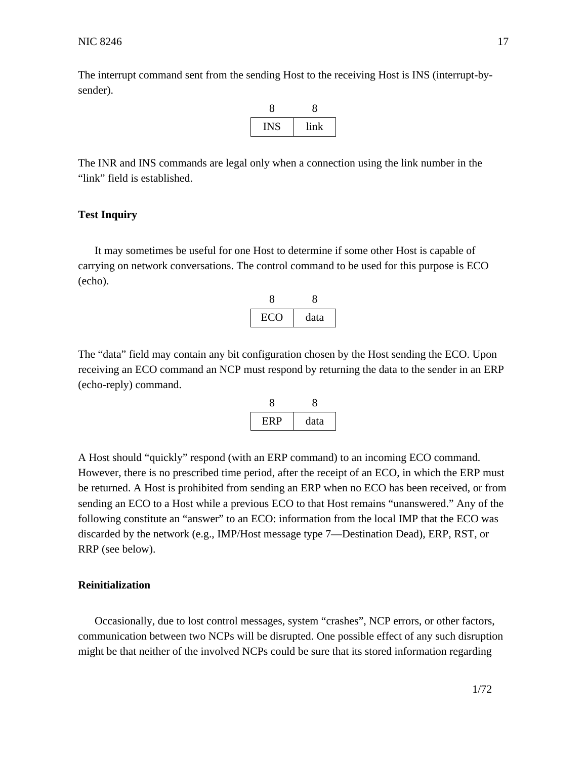The interrupt command sent from the sending Host to the receiving Host is INS (interrupt-bysender).



The INR and INS commands are legal only when a connection using the link number in the "link" field is established.

### **Test Inquiry**

It may sometimes be useful for one Host to determine if some other Host is capable of carrying on network conversations. The control command to be used for this purpose is ECO (echo).



The "data" field may contain any bit configuration chosen by the Host sending the ECO. Upon receiving an ECO command an NCP must respond by returning the data to the sender in an ERP (echo-reply) command.



A Host should "quickly" respond (with an ERP command) to an incoming ECO command. However, there is no prescribed time period, after the receipt of an ECO, in which the ERP must be returned. A Host is prohibited from sending an ERP when no ECO has been received, or from sending an ECO to a Host while a previous ECO to that Host remains "unanswered." Any of the following constitute an "answer" to an ECO: information from the local IMP that the ECO was discarded by the network (e.g., IMP/Host message type 7—Destination Dead), ERP, RST, or RRP (see below).

## **Reinitialization**

Occasionally, due to lost control messages, system "crashes", NCP errors, or other factors, communication between two NCPs will be disrupted. One possible effect of any such disruption might be that neither of the involved NCPs could be sure that its stored information regarding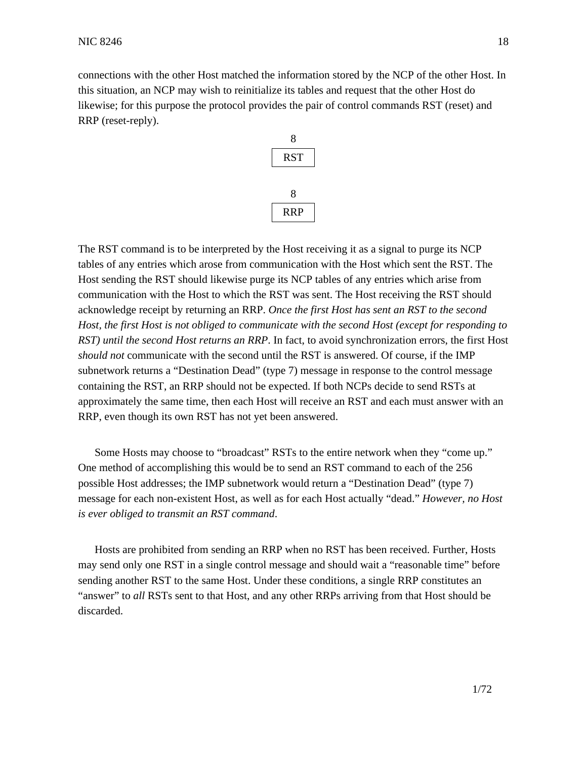connections with the other Host matched the information stored by the NCP of the other Host. In this situation, an NCP may wish to reinitialize its tables and request that the other Host do likewise; for this purpose the protocol provides the pair of control commands RST (reset) and RRP (reset-reply).



The RST command is to be interpreted by the Host receiving it as a signal to purge its NCP tables of any entries which arose from communication with the Host which sent the RST. The Host sending the RST should likewise purge its NCP tables of any entries which arise from communication with the Host to which the RST was sent. The Host receiving the RST should acknowledge receipt by returning an RRP. *Once the first Host has sent an RST to the second Host, the first Host is not obliged to communicate with the second Host (except for responding to RST) until the second Host returns an RRP*. In fact, to avoid synchronization errors, the first Host *should not* communicate with the second until the RST is answered. Of course, if the IMP subnetwork returns a "Destination Dead" (type 7) message in response to the control message containing the RST, an RRP should not be expected. If both NCPs decide to send RSTs at approximately the same time, then each Host will receive an RST and each must answer with an RRP, even though its own RST has not yet been answered.

Some Hosts may choose to "broadcast" RSTs to the entire network when they "come up." One method of accomplishing this would be to send an RST command to each of the 256 possible Host addresses; the IMP subnetwork would return a "Destination Dead" (type 7) message for each non-existent Host, as well as for each Host actually "dead." *However, no Host is ever obliged to transmit an RST command*.

Hosts are prohibited from sending an RRP when no RST has been received. Further, Hosts may send only one RST in a single control message and should wait a "reasonable time" before sending another RST to the same Host. Under these conditions, a single RRP constitutes an "answer" to *all* RSTs sent to that Host, and any other RRPs arriving from that Host should be discarded.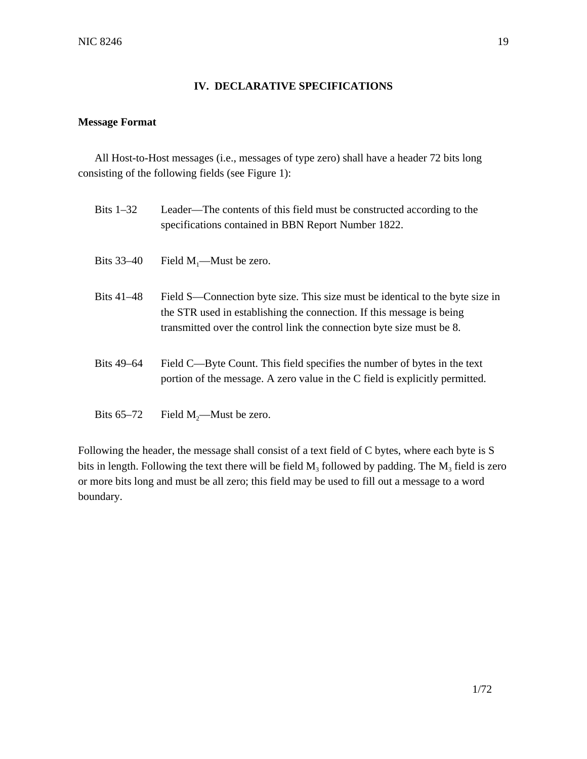## **IV. DECLARATIVE SPECIFICATIONS**

## **Message Format**

All Host-to-Host messages (i.e., messages of type zero) shall have a header 72 bits long consisting of the following fields (see Figure 1):

| Bits $1-32$ | Leader—The contents of this field must be constructed according to the<br>specifications contained in BBN Report Number 1822.                                                                                                   |
|-------------|---------------------------------------------------------------------------------------------------------------------------------------------------------------------------------------------------------------------------------|
| Bits 33–40  | Field $M_1$ —Must be zero.                                                                                                                                                                                                      |
| Bits 41–48  | Field S—Connection byte size. This size must be identical to the byte size in<br>the STR used in establishing the connection. If this message is being<br>transmitted over the control link the connection byte size must be 8. |
| Bits 49–64  | Field C—Byte Count. This field specifies the number of bytes in the text<br>portion of the message. A zero value in the C field is explicitly permitted.                                                                        |
| Bits 65–72  | Field $M_2$ —Must be zero.                                                                                                                                                                                                      |

Following the header, the message shall consist of a text field of C bytes, where each byte is S bits in length. Following the text there will be field  $M_3$  followed by padding. The  $M_3$  field is zero or more bits long and must be all zero; this field may be used to fill out a message to a word boundary.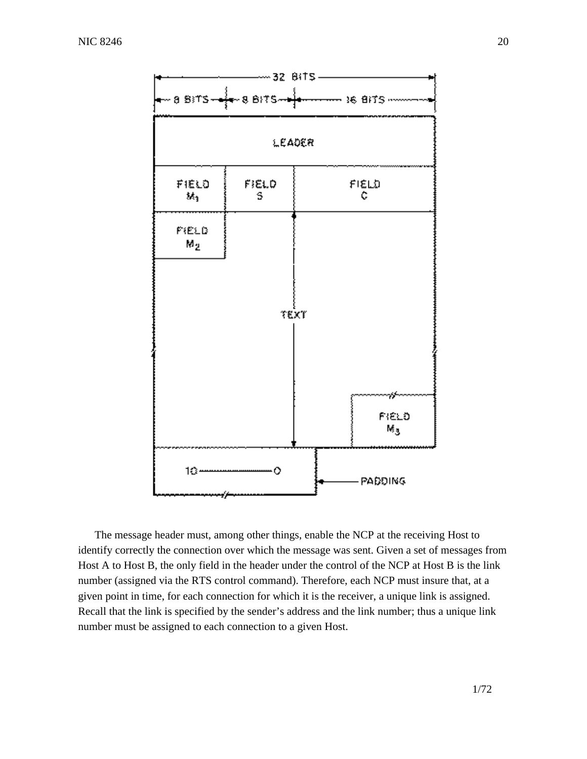

The message header must, among other things, enable the NCP at the receiving Host to identify correctly the connection over which the message was sent. Given a set of messages from Host A to Host B, the only field in the header under the control of the NCP at Host B is the link number (assigned via the RTS control command). Therefore, each NCP must insure that, at a given point in time, for each connection for which it is the receiver, a unique link is assigned. Recall that the link is specified by the sender's address and the link number; thus a unique link number must be assigned to each connection to a given Host.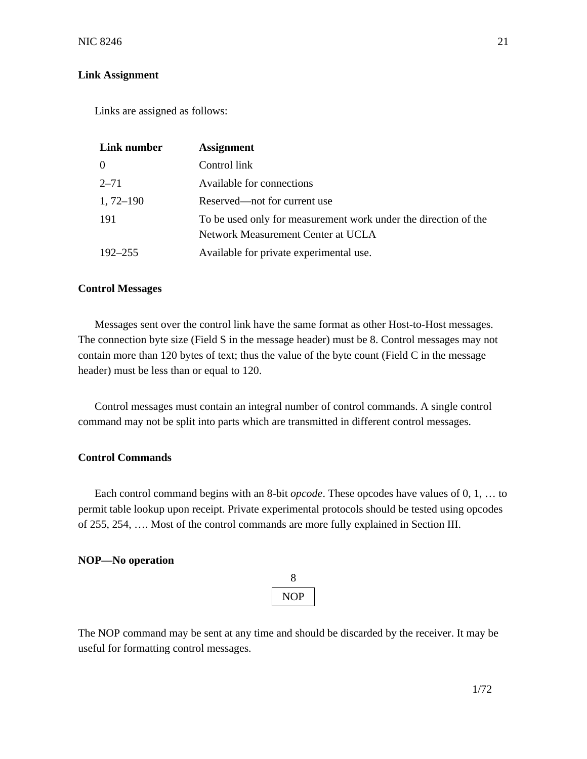## **Link Assignment**

Links are assigned as follows:

| Link number   | <b>Assignment</b>                                                                                     |
|---------------|-------------------------------------------------------------------------------------------------------|
| $\theta$      | Control link                                                                                          |
| $2 - 71$      | Available for connections                                                                             |
| $1, 72 - 190$ | Reserved—not for current use                                                                          |
| 191           | To be used only for measurement work under the direction of the<br>Network Measurement Center at UCLA |
| $192 - 255$   | Available for private experimental use.                                                               |

#### **Control Messages**

Messages sent over the control link have the same format as other Host-to-Host messages. The connection byte size (Field S in the message header) must be 8. Control messages may not contain more than 120 bytes of text; thus the value of the byte count (Field C in the message header) must be less than or equal to 120.

Control messages must contain an integral number of control commands. A single control command may not be split into parts which are transmitted in different control messages.

## **Control Commands**

Each control command begins with an 8-bit *opcode*. These opcodes have values of 0, 1, … to permit table lookup upon receipt. Private experimental protocols should be tested using opcodes of 255, 254, …. Most of the control commands are more fully explained in Section III.

#### **NOP—No operation**

| JOP |  |
|-----|--|

The NOP command may be sent at any time and should be discarded by the receiver. It may be useful for formatting control messages.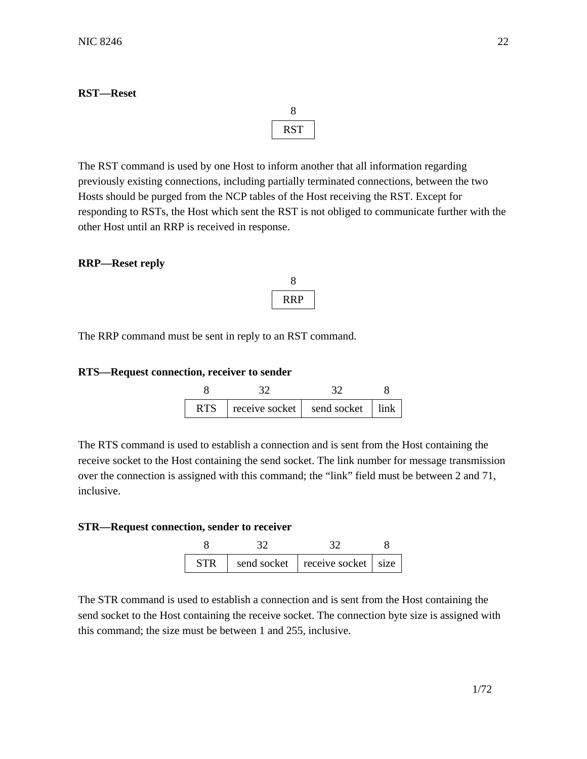## **RST—Reset**

8 RST

The RST command is used by one Host to inform another that all information regarding previously existing connections, including partially terminated connections, between the two Hosts should be purged from the NCP tables of the Host receiving the RST. Except for responding to RSTs, the Host which sent the RST is not obliged to communicate further with the other Host until an RRP is received in response.

## **RRP—Reset reply**

| RRP |  |
|-----|--|

The RRP command must be sent in reply to an RST command.

### **RTS—Request connection, receiver to sender**

| RTS. | receive socket   send socket   link |  |
|------|-------------------------------------|--|

The RTS command is used to establish a connection and is sent from the Host containing the receive socket to the Host containing the send socket. The link number for message transmission over the connection is assigned with this command; the "link" field must be between 2 and 71, inclusive.

## **STR—Request connection, sender to receiver**

| <b>STR</b> | send socket   receive socket   size |  |
|------------|-------------------------------------|--|

The STR command is used to establish a connection and is sent from the Host containing the send socket to the Host containing the receive socket. The connection byte size is assigned with this command; the size must be between 1 and 255, inclusive.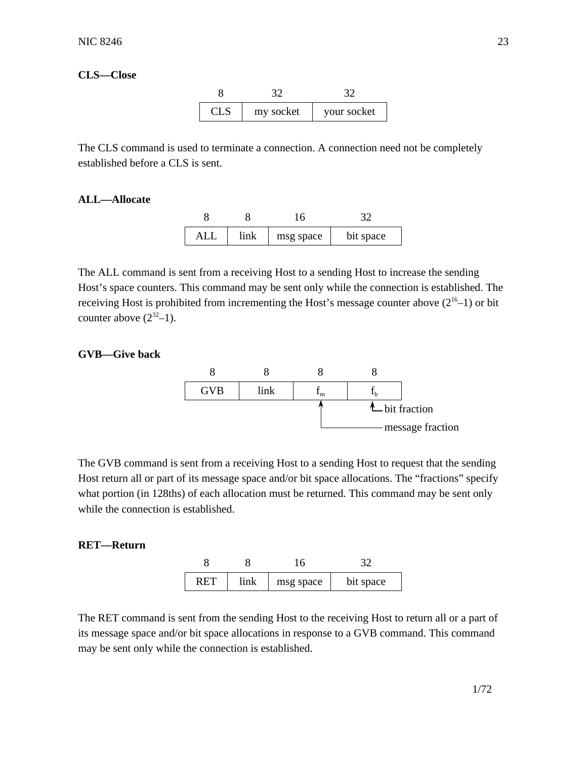## **CLS—Close**



The CLS command is used to terminate a connection. A connection need not be completely established before a CLS is sent.

## **ALL—Allocate**

| $AI$ . | link | msg space | bit space |
|--------|------|-----------|-----------|

The ALL command is sent from a receiving Host to a sending Host to increase the sending Host's space counters. This command may be sent only while the connection is established. The receiving Host is prohibited from incrementing the Host's message counter above  $(2^{16}-1)$  or bit counter above  $(2^{32}-1)$ .

### **GVB—Give back**



The GVB command is sent from a receiving Host to a sending Host to request that the sending Host return all or part of its message space and/or bit space allocations. The "fractions" specify what portion (in 128ths) of each allocation must be returned. This command may be sent only while the connection is established.

## **RET—Return**



The RET command is sent from the sending Host to the receiving Host to return all or a part of its message space and/or bit space allocations in response to a GVB command. This command may be sent only while the connection is established.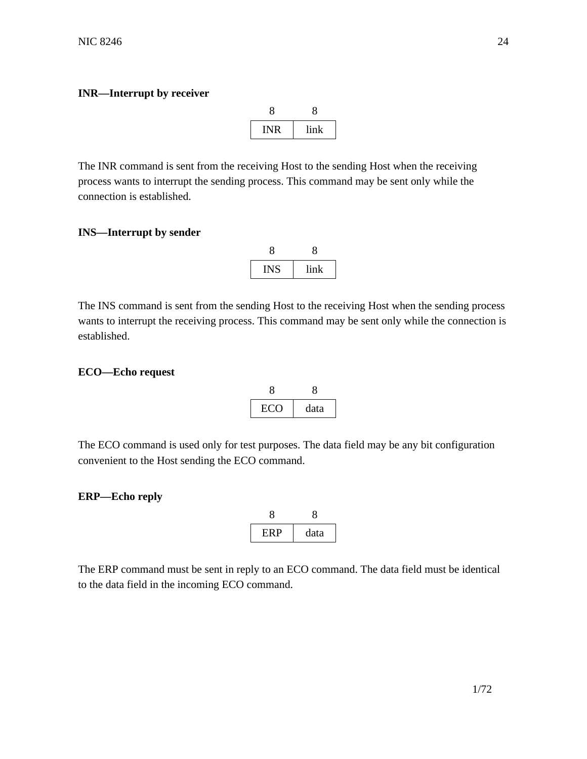## **INR—Interrupt by receiver**

| <b>INR</b> | link |  |
|------------|------|--|

The INR command is sent from the receiving Host to the sending Host when the receiving process wants to interrupt the sending process. This command may be sent only while the connection is established.

## **INS—Interrupt by sender**

| <b>INS</b> | link |  |
|------------|------|--|

The INS command is sent from the sending Host to the receiving Host when the sending process wants to interrupt the receiving process. This command may be sent only while the connection is established.

## **ECO—Echo request**

| EC O | data |  |
|------|------|--|

The ECO command is used only for test purposes. The data field may be any bit configuration convenient to the Host sending the ECO command.

## **ERP—Echo reply**

| ERP | data |  |
|-----|------|--|

The ERP command must be sent in reply to an ECO command. The data field must be identical to the data field in the incoming ECO command.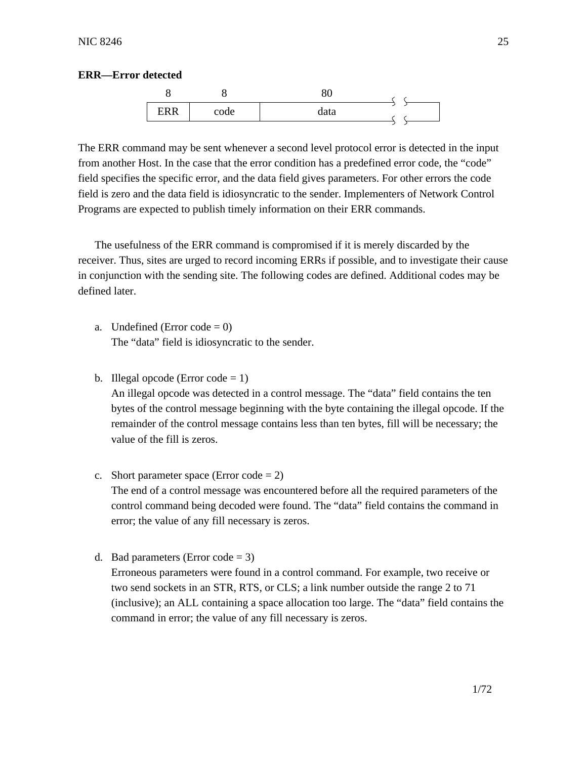## **ERR—Error detected**



The ERR command may be sent whenever a second level protocol error is detected in the input from another Host. In the case that the error condition has a predefined error code, the "code" field specifies the specific error, and the data field gives parameters. For other errors the code field is zero and the data field is idiosyncratic to the sender. Implementers of Network Control Programs are expected to publish timely information on their ERR commands.

The usefulness of the ERR command is compromised if it is merely discarded by the receiver. Thus, sites are urged to record incoming ERRs if possible, and to investigate their cause in conjunction with the sending site. The following codes are defined. Additional codes may be defined later.

- a. Undefined (Error code  $= 0$ ) The "data" field is idiosyncratic to the sender.
- b. Illegal opcode (Error code  $= 1$ )

An illegal opcode was detected in a control message. The "data" field contains the ten bytes of the control message beginning with the byte containing the illegal opcode. If the remainder of the control message contains less than ten bytes, fill will be necessary; the value of the fill is zeros.

c. Short parameter space (Error code  $= 2$ )

The end of a control message was encountered before all the required parameters of the control command being decoded were found. The "data" field contains the command in error; the value of any fill necessary is zeros.

d. Bad parameters (Error code  $= 3$ ) Erroneous parameters were found in a control command. For example, two receive or two send sockets in an STR, RTS, or CLS; a link number outside the range 2 to 71 (inclusive); an ALL containing a space allocation too large. The "data" field contains the command in error; the value of any fill necessary is zeros.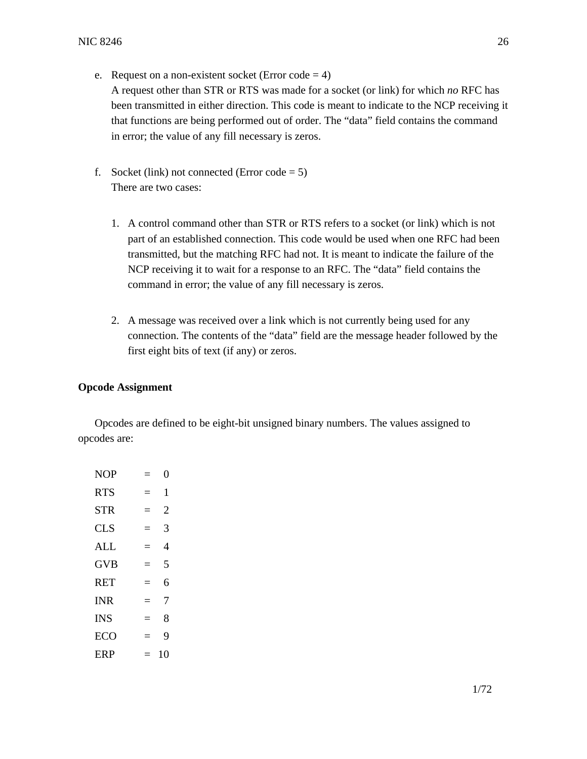- e. Request on a non-existent socket (Error code  $= 4$ ) A request other than STR or RTS was made for a socket (or link) for which *no* RFC has been transmitted in either direction. This code is meant to indicate to the NCP receiving it that functions are being performed out of order. The "data" field contains the command in error; the value of any fill necessary is zeros.
- f. Socket (link) not connected (Error code  $= 5$ ) There are two cases:
	- 1. A control command other than STR or RTS refers to a socket (or link) which is not part of an established connection. This code would be used when one RFC had been transmitted, but the matching RFC had not. It is meant to indicate the failure of the NCP receiving it to wait for a response to an RFC. The "data" field contains the command in error; the value of any fill necessary is zeros.
	- 2. A message was received over a link which is not currently being used for any connection. The contents of the "data" field are the message header followed by the first eight bits of text (if any) or zeros.

## **Opcode Assignment**

Opcodes are defined to be eight-bit unsigned binary numbers. The values assigned to opcodes are:

| <b>NOP</b> | Ξ        | 0              |
|------------|----------|----------------|
| <b>RTS</b> | $\equiv$ | 1              |
| <b>STR</b> | $\equiv$ | $\overline{c}$ |
| <b>CLS</b> | $=$      | 3              |
| AI.        | $=$      | 4              |
| <b>GVB</b> | $=$      | 5              |
| <b>RET</b> | $=$      | 6              |
| <b>INR</b> | $=$      | 7              |
| <b>INS</b> | $=$      | 8              |
| ECO        | -        | 9              |
| ERP        |          | 10             |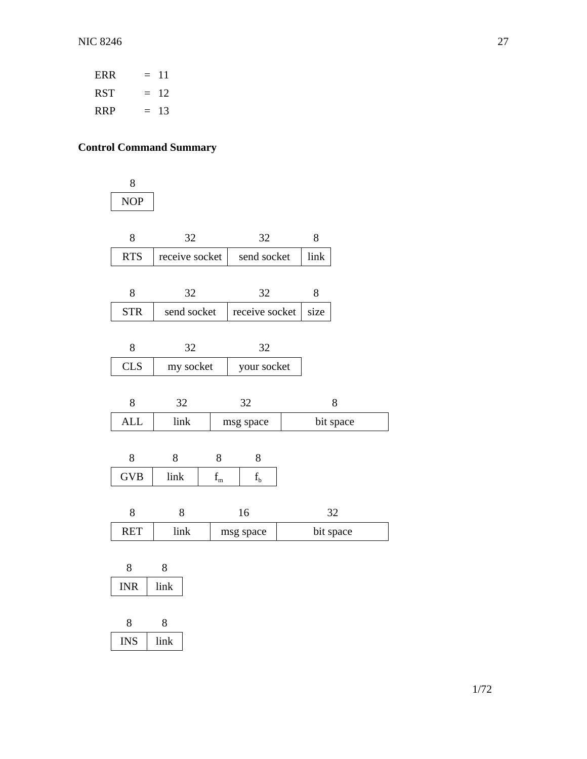| ERR | $=$ 11 |
|-----|--------|
| RST | $= 12$ |
| RRP | $= 13$ |

# **Control Command Summary**